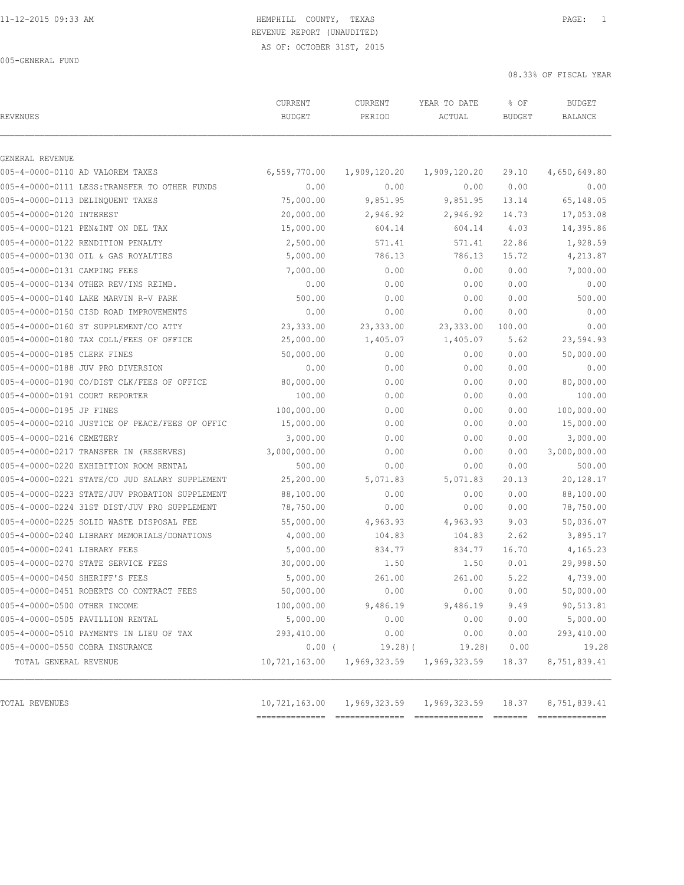### 11-12-2015 09:33 AM HEMPHILL COUNTY, TEXAS PAGE: 1 REVENUE REPORT (UNAUDITED)

AS OF: OCTOBER 31ST, 2015

005-GENERAL FUND

08.33% OF FISCAL YEAR

| <b>REVENUES</b>                                | CURRENT<br><b>BUDGET</b> | CURRENT<br>PERIOD | YEAR TO DATE<br>ACTUAL | % OF<br><b>BUDGET</b> | <b>BUDGET</b><br><b>BALANCE</b> |
|------------------------------------------------|--------------------------|-------------------|------------------------|-----------------------|---------------------------------|
| GENERAL REVENUE                                |                          |                   |                        |                       |                                 |
| 005-4-0000-0110 AD VALOREM TAXES               | 6,559,770.00             | 1,909,120.20      | 1,909,120.20           | 29.10                 | 4,650,649.80                    |
| 005-4-0000-0111 LESS: TRANSFER TO OTHER FUNDS  | 0.00                     | 0.00              | 0.00                   | 0.00                  | 0.00                            |
| 005-4-0000-0113 DELINQUENT TAXES               | 75,000.00                | 9,851.95          | 9,851.95               | 13.14                 | 65,148.05                       |
| 005-4-0000-0120 INTEREST                       | 20,000.00                | 2,946.92          | 2,946.92               | 14.73                 | 17,053.08                       |
| 005-4-0000-0121 PEN&INT ON DEL TAX             | 15,000.00                | 604.14            | 604.14                 | 4.03                  | 14,395.86                       |
| 005-4-0000-0122 RENDITION PENALTY              | 2,500.00                 | 571.41            | 571.41                 | 22.86                 | 1,928.59                        |
| 005-4-0000-0130 OIL & GAS ROYALTIES            | 5,000.00                 | 786.13            | 786.13                 | 15.72                 | 4,213.87                        |
| 005-4-0000-0131 CAMPING FEES                   | 7,000.00                 | 0.00              | 0.00                   | 0.00                  | 7,000.00                        |
| 005-4-0000-0134 OTHER REV/INS REIMB.           | 0.00                     | 0.00              | 0.00                   | 0.00                  | 0.00                            |
| 005-4-0000-0140 LAKE MARVIN R-V PARK           | 500.00                   | 0.00              | 0.00                   | 0.00                  | 500.00                          |
| 005-4-0000-0150 CISD ROAD IMPROVEMENTS         | 0.00                     | 0.00              | 0.00                   | 0.00                  | 0.00                            |
| 005-4-0000-0160 ST SUPPLEMENT/CO ATTY          | 23,333.00                | 23,333.00         | 23, 333.00             | 100.00                | 0.00                            |
| 005-4-0000-0180 TAX COLL/FEES OF OFFICE        | 25,000.00                | 1,405.07          | 1,405.07               | 5.62                  | 23,594.93                       |
| 005-4-0000-0185 CLERK FINES                    | 50,000.00                | 0.00              | 0.00                   | 0.00                  | 50,000.00                       |
| 005-4-0000-0188 JUV PRO DIVERSION              | 0.00                     | 0.00              | 0.00                   | 0.00                  | 0.00                            |
| 005-4-0000-0190 CO/DIST CLK/FEES OF OFFICE     | 80,000.00                | 0.00              | 0.00                   | 0.00                  | 80,000.00                       |
| 005-4-0000-0191 COURT REPORTER                 | 100.00                   | 0.00              | 0.00                   | 0.00                  | 100.00                          |
| 005-4-0000-0195 JP FINES                       | 100,000.00               | 0.00              | 0.00                   | 0.00                  | 100,000.00                      |
| 005-4-0000-0210 JUSTICE OF PEACE/FEES OF OFFIC | 15,000.00                | 0.00              | 0.00                   | 0.00                  | 15,000.00                       |
| 005-4-0000-0216 CEMETERY                       | 3,000.00                 | 0.00              | 0.00                   | 0.00                  | 3,000.00                        |
| 005-4-0000-0217 TRANSFER IN (RESERVES)         | 3,000,000.00             | 0.00              | 0.00                   | 0.00                  | 3,000,000.00                    |
| 005-4-0000-0220 EXHIBITION ROOM RENTAL         | 500.00                   | 0.00              | 0.00                   | 0.00                  | 500.00                          |
| 005-4-0000-0221 STATE/CO JUD SALARY SUPPLEMENT | 25,200.00                | 5,071.83          | 5,071.83               | 20.13                 | 20,128.17                       |
| 005-4-0000-0223 STATE/JUV PROBATION SUPPLEMENT | 88,100.00                | 0.00              | 0.00                   | 0.00                  | 88,100.00                       |
| 005-4-0000-0224 31ST DIST/JUV PRO SUPPLEMENT   | 78,750.00                | 0.00              | 0.00                   | 0.00                  | 78,750.00                       |
| 005-4-0000-0225 SOLID WASTE DISPOSAL FEE       | 55,000.00                | 4,963.93          | 4,963.93               | 9.03                  | 50,036.07                       |
| 005-4-0000-0240 LIBRARY MEMORIALS/DONATIONS    | 4,000.00                 | 104.83            | 104.83                 | 2.62                  | 3,895.17                        |
| 005-4-0000-0241 LIBRARY FEES                   | 5,000.00                 | 834.77            | 834.77                 | 16.70                 | 4,165.23                        |
| 005-4-0000-0270 STATE SERVICE FEES             | 30,000.00                | 1.50              | 1.50                   | 0.01                  | 29,998.50                       |
| 005-4-0000-0450 SHERIFF'S FEES                 | 5,000.00                 | 261.00            | 261.00                 | 5.22                  | 4,739.00                        |
| 005-4-0000-0451 ROBERTS CO CONTRACT FEES       | 50,000.00                | 0.00              | 0.00                   | 0.00                  | 50,000.00                       |
| 005-4-0000-0500 OTHER INCOME                   | 100,000.00               | 9,486.19          | 9,486.19               | 9.49                  | 90,513.81                       |
| 005-4-0000-0505 PAVILLION RENTAL               | 5,000.00                 | 0.00              | 0.00                   | 0.00                  | 5,000.00                        |
| 005-4-0000-0510 PAYMENTS IN LIEU OF TAX        | 293,410.00               | 0.00              | 0.00                   | 0.00                  | 293,410.00                      |
| 005-4-0000-0550 COBRA INSURANCE                | $0.00$ (                 | $19.28$ ) (       | 19.28)                 | 0.00                  | 19.28                           |
| TOTAL GENERAL REVENUE                          | 10,721,163.00            | 1,969,323.59      | 1,969,323.59           | 18.37                 | 8,751,839.41                    |
|                                                |                          |                   |                        |                       |                                 |
| TOTAL REVENUES                                 | 10,721,163.00            | 1,969,323.59      | 1,969,323.59           | 18.37                 | 8,751,839.41                    |

============== ============== ============== ======= ==============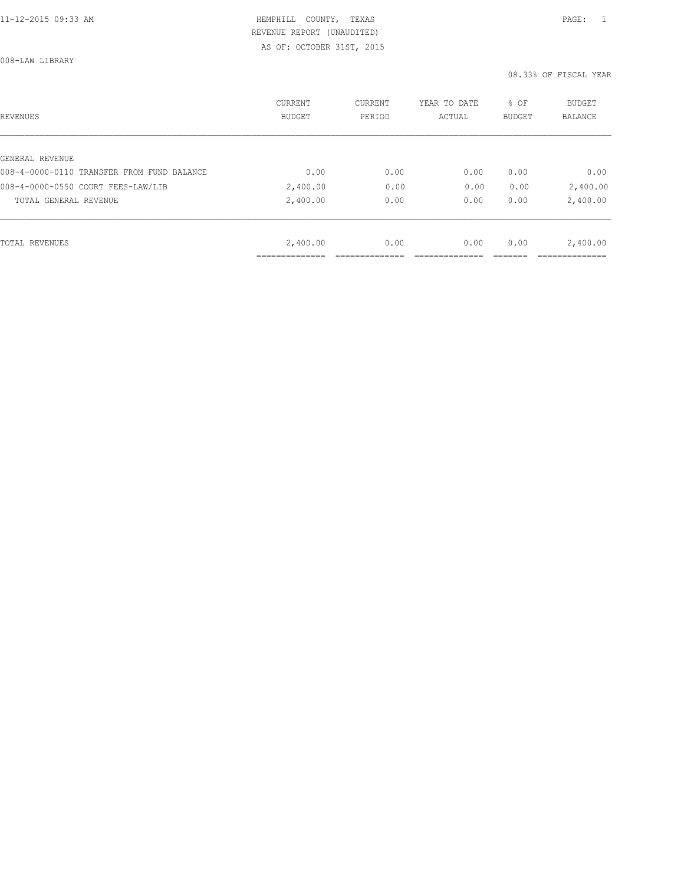008-LAW LIBRARY

| REVENUES                                   | <b>CURRENT</b><br><b>BUDGET</b> | CURRENT<br>PERIOD | YEAR TO DATE<br>ACTUAL | % OF<br><b>BUDGET</b> | <b>BUDGET</b><br>BALANCE |
|--------------------------------------------|---------------------------------|-------------------|------------------------|-----------------------|--------------------------|
|                                            |                                 |                   |                        |                       |                          |
| GENERAL REVENUE                            |                                 |                   |                        |                       |                          |
| 008-4-0000-0110 TRANSFER FROM FUND BALANCE | 0.00                            | 0.00              | 0.00                   | 0.00                  | 0.00                     |
| 008-4-0000-0550 COURT FEES-LAW/LIB         | 2,400.00                        | 0.00              | 0.00                   | 0.00                  | 2,400.00                 |
| TOTAL GENERAL REVENUE                      | 2,400.00                        | 0.00              | 0.00                   | 0.00                  | 2,400.00                 |
|                                            |                                 |                   |                        |                       |                          |
| TOTAL REVENUES                             | 2,400.00                        | 0.00              | 0.00                   | 0.00                  | 2,400.00                 |
|                                            |                                 |                   |                        |                       |                          |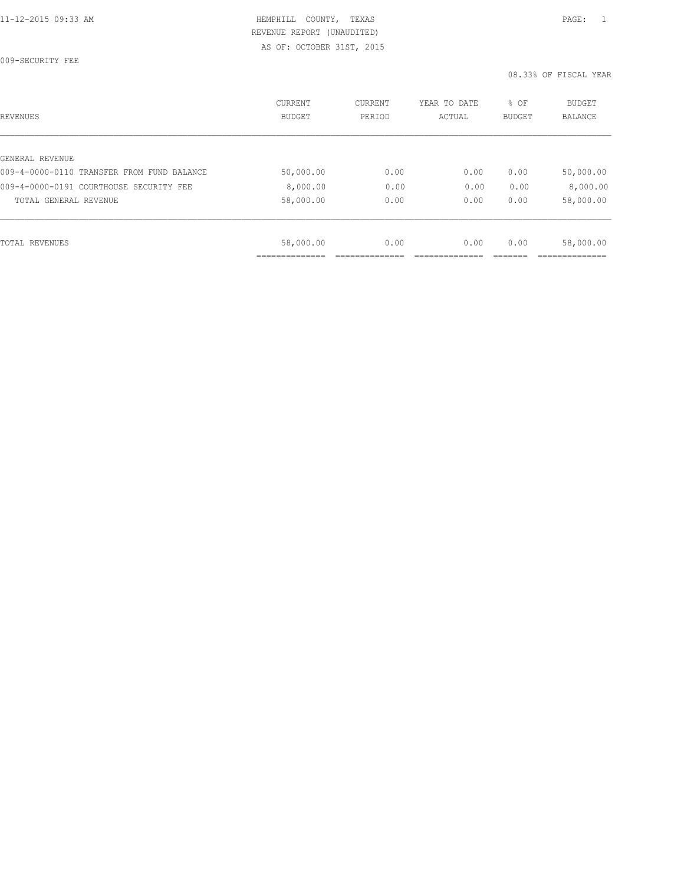009-SECURITY FEE

| REVENUES                                   | <b>CURRENT</b><br><b>BUDGET</b> | CURRENT<br>PERIOD | YEAR TO DATE<br>ACTUAL | % OF<br><b>BUDGET</b> | <b>BUDGET</b><br>BALANCE |
|--------------------------------------------|---------------------------------|-------------------|------------------------|-----------------------|--------------------------|
|                                            |                                 |                   |                        |                       |                          |
| GENERAL REVENUE                            |                                 |                   |                        |                       |                          |
| 009-4-0000-0110 TRANSFER FROM FUND BALANCE | 50,000.00                       | 0.00              | 0.00                   | 0.00                  | 50,000.00                |
| 009-4-0000-0191 COURTHOUSE SECURITY FEE    | 8,000.00                        | 0.00              | 0.00                   | 0.00                  | 8,000.00                 |
| TOTAL GENERAL REVENUE                      | 58,000.00                       | 0.00              | 0.00                   | 0.00                  | 58,000.00                |
|                                            |                                 |                   |                        |                       |                          |
| TOTAL REVENUES                             | 58,000.00                       | 0.00              | 0.00                   | 0.00                  | 58,000.00                |
|                                            |                                 |                   |                        |                       |                          |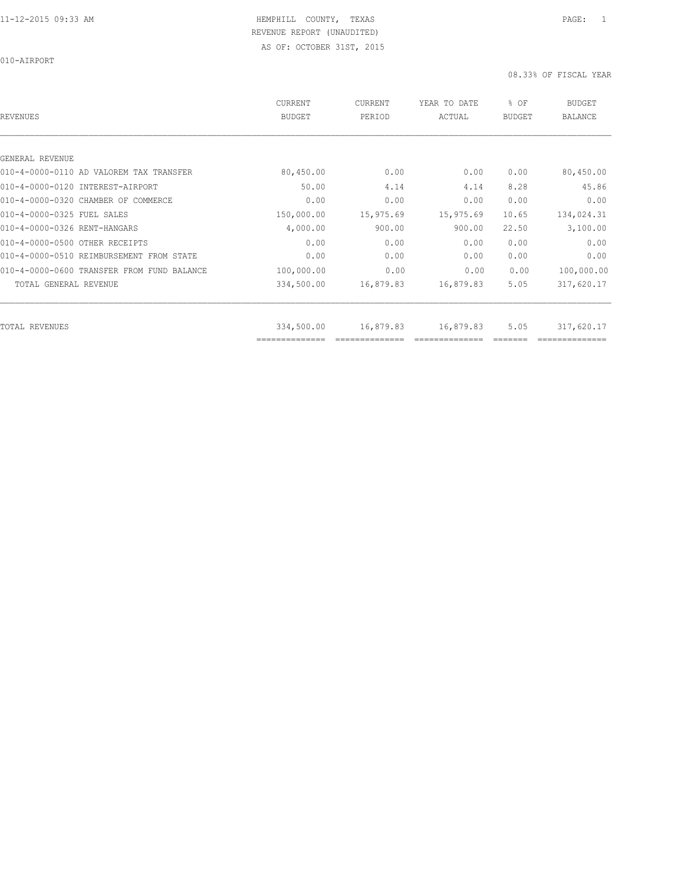010-AIRPORT

| REVENUES                                   | <b>CURRENT</b><br><b>BUDGET</b> | CURRENT<br>PERIOD | YEAR TO DATE<br>ACTUAL | % OF<br><b>BUDGET</b> | <b>BUDGET</b><br><b>BALANCE</b> |
|--------------------------------------------|---------------------------------|-------------------|------------------------|-----------------------|---------------------------------|
|                                            |                                 |                   |                        |                       |                                 |
| GENERAL REVENUE                            |                                 |                   |                        |                       |                                 |
| 010-4-0000-0110 AD VALOREM TAX TRANSFER    | 80,450.00                       | 0.00              | 0.00                   | 0.00                  | 80,450.00                       |
| 010-4-0000-0120 INTEREST-AIRPORT           | 50.00                           | 4.14              | 4.14                   | 8.28                  | 45.86                           |
| 010-4-0000-0320 CHAMBER OF COMMERCE        | 0.00                            | 0.00              | 0.00                   | 0.00                  | 0.00                            |
| 010-4-0000-0325 FUEL SALES                 | 150,000.00                      | 15,975.69         | 15,975.69              | 10.65                 | 134,024.31                      |
| 010-4-0000-0326 RENT-HANGARS               | 4,000.00                        | 900.00            | 900.00                 | 22.50                 | 3,100.00                        |
| 010-4-0000-0500 OTHER RECEIPTS             | 0.00                            | 0.00              | 0.00                   | 0.00                  | 0.00                            |
| 010-4-0000-0510 REIMBURSEMENT FROM STATE   | 0.00                            | 0.00              | 0.00                   | 0.00                  | 0.00                            |
| 010-4-0000-0600 TRANSFER FROM FUND BALANCE | 100,000.00                      | 0.00              | 0.00                   | 0.00                  | 100,000.00                      |
| TOTAL GENERAL REVENUE                      | 334,500.00                      | 16,879.83         | 16,879.83              | 5.05                  | 317,620.17                      |
|                                            |                                 |                   |                        |                       |                                 |
| TOTAL REVENUES                             | 334,500.00<br>==============    | 16,879.83         | 16,879.83              | 5.05                  | 317,620.17                      |
|                                            |                                 |                   |                        |                       |                                 |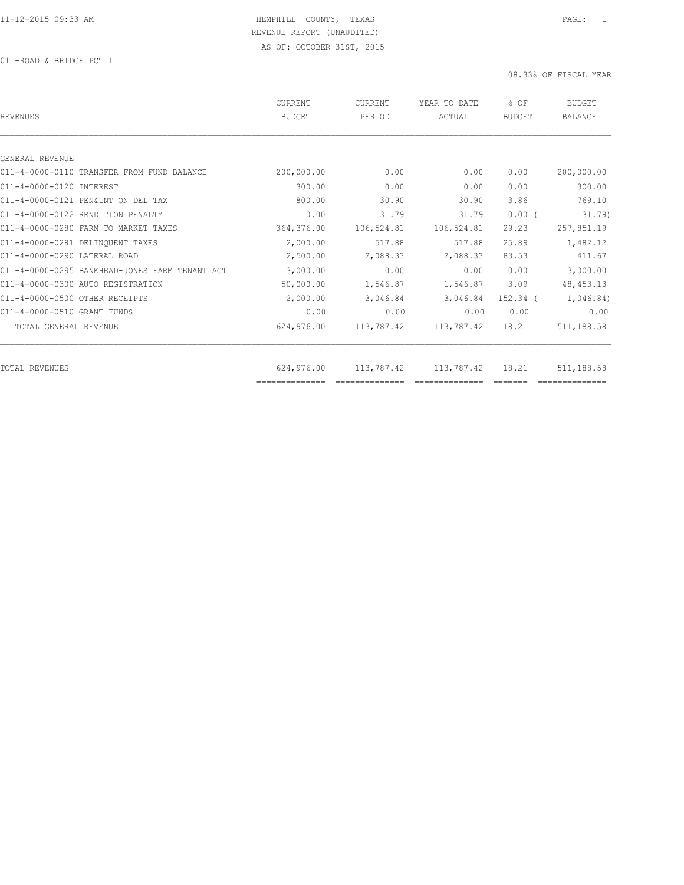011-ROAD & BRIDGE PCT 1

| REVENUES                                       | CURRENT<br><b>BUDGET</b> | <b>CURRENT</b><br>PERIOD | YEAR TO DATE<br>ACTUAL | % OF<br>BUDGET | <b>BUDGET</b><br>BALANCE |
|------------------------------------------------|--------------------------|--------------------------|------------------------|----------------|--------------------------|
|                                                |                          |                          |                        |                |                          |
| GENERAL REVENUE                                |                          |                          |                        |                |                          |
| 011-4-0000-0110 TRANSFER FROM FUND BALANCE     | 200,000.00               | 0.00                     | 0.00                   | 0.00           | 200,000.00               |
| 011-4-0000-0120 INTEREST                       | 300.00                   | 0.00                     | 0.00                   | 0.00           | 300.00                   |
| 011-4-0000-0121 PEN&INT ON DEL TAX             | 800.00                   | 30.90                    | 30.90                  | 3.86           | 769.10                   |
| 011-4-0000-0122 RENDITION PENALTY              | 0.00                     | 31.79                    | 31.79                  | $0.00$ (       | 31.79)                   |
| 011-4-0000-0280 FARM TO MARKET TAXES           | 364,376.00               | 106,524.81               | 106,524.81             | 29.23          | 257,851.19               |
| 011-4-0000-0281 DELINQUENT TAXES               | 2,000.00                 | 517.88                   | 517.88                 | 25.89          | 1,482.12                 |
| 011-4-0000-0290 LATERAL ROAD                   | 2,500.00                 | 2,088.33                 | 2,088.33               | 83.53          | 411.67                   |
| 011-4-0000-0295 BANKHEAD-JONES FARM TENANT ACT | 3,000.00                 | 0.00                     | 0.00                   | 0.00           | 3,000.00                 |
| 011-4-0000-0300 AUTO REGISTRATION              | 50,000.00                | 1,546.87                 | 1,546.87               | 3.09           | 48, 453. 13              |
| 011-4-0000-0500 OTHER RECEIPTS                 | 2,000.00                 | 3,046.84                 | 3,046.84               | 152.34 (       | 1,046.84)                |
| 011-4-0000-0510 GRANT FUNDS                    | 0.00                     | 0.00                     | 0.00                   | 0.00           | 0.00                     |
| TOTAL GENERAL REVENUE                          | 624,976.00               | 113,787.42               | 113,787.42             | 18.21          | 511,188.58               |
|                                                |                          |                          |                        |                |                          |
| TOTAL REVENUES                                 | 624,976.00               | 113,787.42               | 113,787.42             | 18.21          | 511,188.58               |
|                                                | ==============           |                          |                        |                |                          |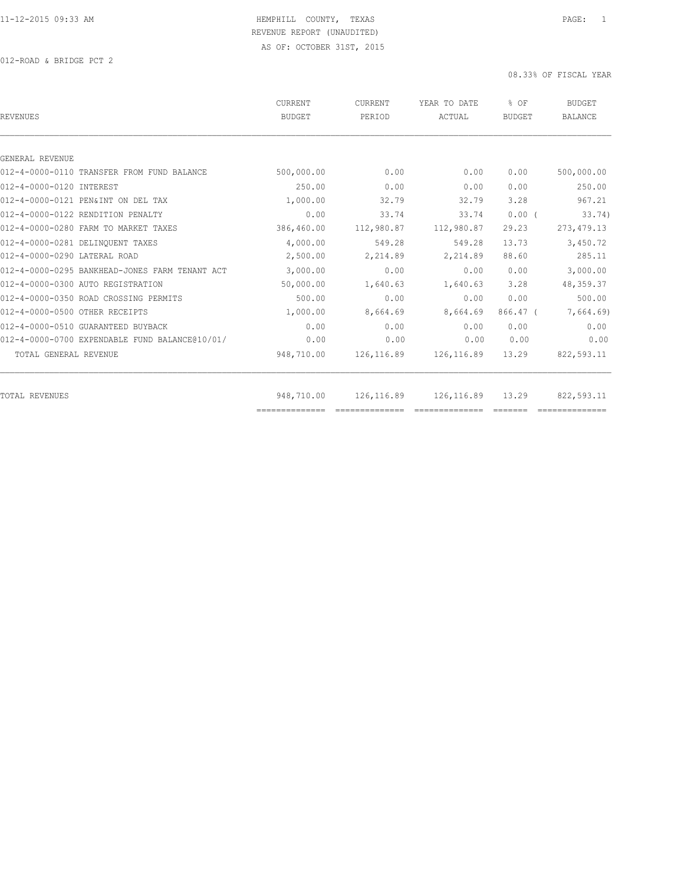012-ROAD & BRIDGE PCT 2

| <b>REVENUES</b>                                | CURRENT<br><b>BUDGET</b> | <b>CURRENT</b><br>PERIOD | YEAR TO DATE<br>ACTUAL | % OF<br><b>BUDGET</b> | <b>BUDGET</b><br><b>BALANCE</b> |
|------------------------------------------------|--------------------------|--------------------------|------------------------|-----------------------|---------------------------------|
|                                                |                          |                          |                        |                       |                                 |
| GENERAL REVENUE                                |                          |                          |                        |                       |                                 |
| 012-4-0000-0110 TRANSFER FROM FUND BALANCE     | 500,000.00               | 0.00                     | 0.00                   | 0.00                  | 500,000.00                      |
| 012-4-0000-0120 INTEREST                       | 250.00                   | 0.00                     | 0.00                   | 0.00                  | 250.00                          |
| 012-4-0000-0121 PEN&INT ON DEL TAX             | 1,000.00                 | 32.79                    | 32.79                  | 3.28                  | 967.21                          |
| 012-4-0000-0122 RENDITION PENALTY              | 0.00                     | 33.74                    | 33.74                  | 0.00(                 | 33.74)                          |
| 012-4-0000-0280 FARM TO MARKET TAXES           | 386,460.00               | 112,980.87               | 112,980.87             | 29.23                 | 273, 479.13                     |
| 012-4-0000-0281 DELINOUENT TAXES               | 4,000.00                 | 549.28                   | 549.28                 | 13.73                 | 3,450.72                        |
| 012-4-0000-0290 LATERAL ROAD                   | 2,500.00                 | 2,214.89                 | 2,214.89               | 88.60                 | 285.11                          |
| 012-4-0000-0295 BANKHEAD-JONES FARM TENANT ACT | 3,000.00                 | 0.00                     | 0.00                   | 0.00                  | 3,000.00                        |
| 012-4-0000-0300 AUTO REGISTRATION              | 50,000.00                | 1,640.63                 | 1,640.63               | 3.28                  | 48, 359.37                      |
| 012-4-0000-0350 ROAD CROSSING PERMITS          | 500.00                   | 0.00                     | 0.00                   | 0.00                  | 500.00                          |
| 012-4-0000-0500 OTHER RECEIPTS                 | 1,000.00                 | 8,664.69                 | 8,664.69               | $866.47$ (            | 7,664.69)                       |
| 012-4-0000-0510 GUARANTEED BUYBACK             | 0.00                     | 0.00                     | 0.00                   | 0.00                  | 0.00                            |
| 012-4-0000-0700 EXPENDABLE FUND BALANCE@10/01/ | 0.00                     | 0.00                     | 0.00                   | 0.00                  | 0.00                            |
| TOTAL GENERAL REVENUE                          | 948,710.00               | 126,116.89               | 126,116.89             | 13.29                 | 822,593.11                      |
| <b>TOTAL REVENUES</b>                          | 948,710.00               | 126,116.89               | 126, 116.89            | 13.29                 | 822,593.11                      |
|                                                |                          |                          |                        |                       |                                 |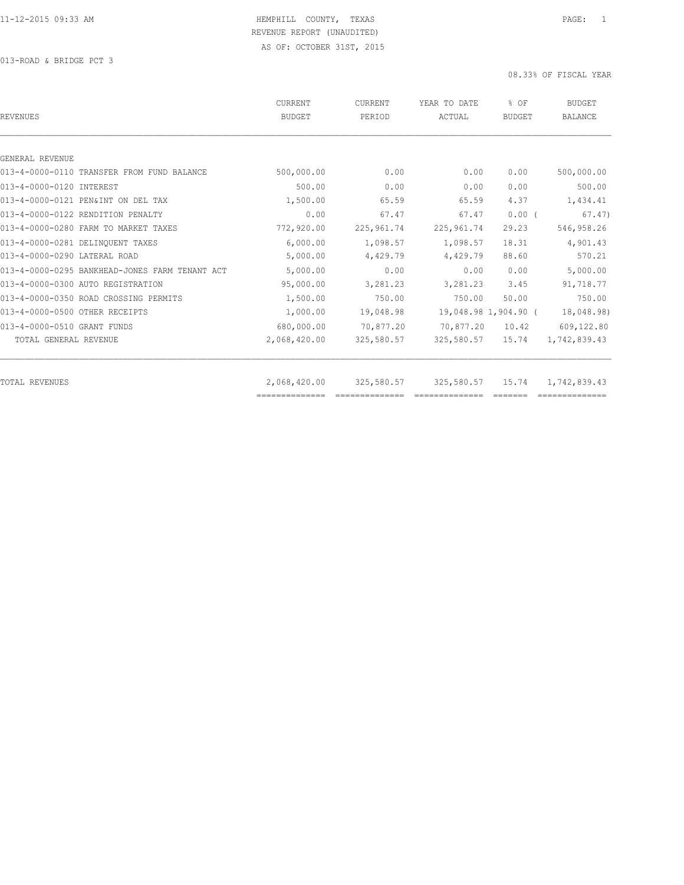013-ROAD & BRIDGE PCT 3

| <b>REVENUES</b>                                | <b>CURRENT</b><br><b>BUDGET</b> | CURRENT<br>PERIOD | YEAR TO DATE<br>ACTUAL | % OF<br><b>BUDGET</b> | <b>BUDGET</b><br><b>BALANCE</b> |
|------------------------------------------------|---------------------------------|-------------------|------------------------|-----------------------|---------------------------------|
|                                                |                                 |                   |                        |                       |                                 |
| GENERAL REVENUE                                |                                 |                   |                        |                       |                                 |
| 013-4-0000-0110 TRANSFER FROM FUND BALANCE     | 500,000.00                      | 0.00              | 0.00                   | 0.00                  | 500,000.00                      |
| 013-4-0000-0120 INTEREST                       | 500.00                          | 0.00              | 0.00                   | 0.00                  | 500.00                          |
| 013-4-0000-0121 PEN&INT ON DEL TAX             | 1,500.00                        | 65.59             | 65.59                  | 4.37                  | 1,434.41                        |
| 013-4-0000-0122 RENDITION PENALTY              | 0.00                            | 67.47             | 67.47                  | $0.00$ (              | 67.47)                          |
| 013-4-0000-0280 FARM TO MARKET TAXES           | 772,920.00                      | 225,961.74        | 225, 961.74            | 29.23                 | 546,958.26                      |
| 013-4-0000-0281 DELINQUENT TAXES               | 6,000.00                        | 1,098.57          | 1,098.57               | 18.31                 | 4,901.43                        |
| 013-4-0000-0290 LATERAL ROAD                   | 5,000.00                        | 4,429.79          | 4,429.79               | 88.60                 | 570.21                          |
| 013-4-0000-0295 BANKHEAD-JONES FARM TENANT ACT | 5,000.00                        | 0.00              | 0.00                   | 0.00                  | 5,000.00                        |
| 013-4-0000-0300 AUTO REGISTRATION              | 95,000.00                       | 3,281.23          | 3,281.23               | 3.45                  | 91,718.77                       |
| 013-4-0000-0350 ROAD CROSSING PERMITS          | 1,500.00                        | 750.00            | 750.00                 | 50.00                 | 750.00                          |
| 013-4-0000-0500 OTHER RECEIPTS                 | 1,000.00                        | 19,048.98         |                        | 19,048.98 1,904.90 (  | 18,048.98)                      |
| 013-4-0000-0510 GRANT FUNDS                    | 680,000.00                      | 70,877.20         | 70,877.20              | 10.42                 | 609,122.80                      |
| TOTAL GENERAL REVENUE                          | 2,068,420.00                    | 325,580.57        | 325,580.57             | 15.74                 | 1,742,839.43                    |
| <b>TOTAL REVENUES</b>                          | 2,068,420.00                    | 325,580.57        | 325,580.57             | 15.74                 | 1,742,839.43                    |
|                                                | ==============                  |                   |                        |                       |                                 |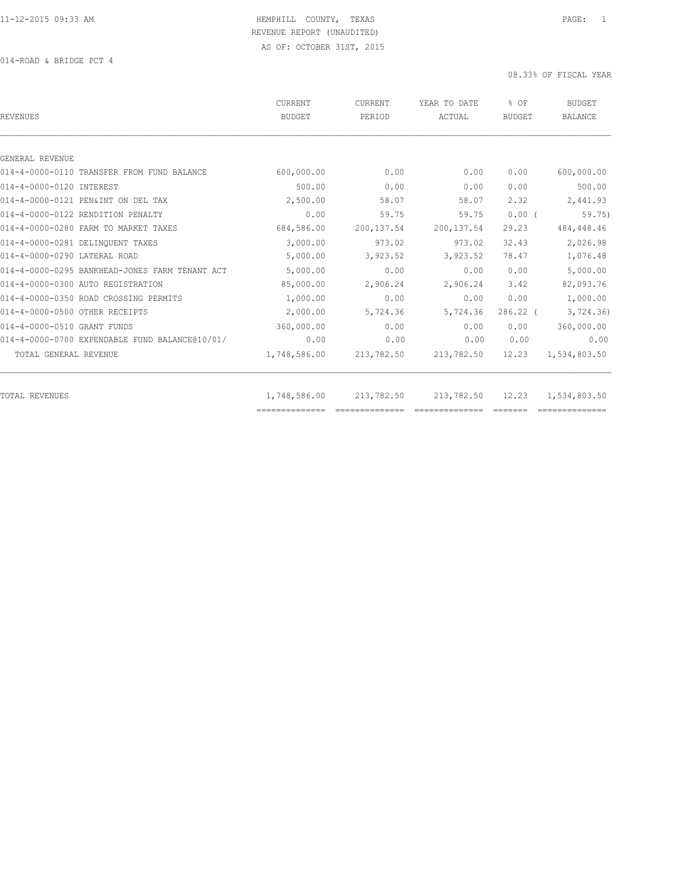014-ROAD & BRIDGE PCT 4

| <b>REVENUES</b>                                | <b>CURRENT</b><br><b>BUDGET</b> | CURRENT<br>PERIOD | YEAR TO DATE<br>ACTUAL | % OF<br><b>BUDGET</b> | <b>BUDGET</b><br><b>BALANCE</b> |
|------------------------------------------------|---------------------------------|-------------------|------------------------|-----------------------|---------------------------------|
| GENERAL REVENUE                                |                                 |                   |                        |                       |                                 |
| 014-4-0000-0110 TRANSFER FROM FUND BALANCE     | 600,000.00                      | 0.00              | 0.00                   | 0.00                  | 600,000.00                      |
| 014-4-0000-0120 INTEREST                       | 500.00                          | 0.00              | 0.00                   | 0.00                  | 500.00                          |
| 014-4-0000-0121 PEN&INT ON DEL TAX             | 2,500.00                        | 58.07             | 58.07                  | 2.32                  | 2,441.93                        |
| 014-4-0000-0122 RENDITION PENALTY              | 0.00                            | 59.75             | 59.75                  | 0.00(                 | 59.75                           |
| 014-4-0000-0280 FARM TO MARKET TAXES           | 684,586.00                      | 200, 137.54       | 200, 137.54            | 29.23                 | 484, 448.46                     |
| 014-4-0000-0281 DELINOUENT TAXES               | 3,000.00                        | 973.02            | 973.02                 | 32.43                 | 2,026.98                        |
| 014-4-0000-0290 LATERAL ROAD                   | 5,000.00                        | 3,923.52          | 3,923.52               | 78.47                 | 1,076.48                        |
|                                                |                                 |                   |                        |                       |                                 |
| 014-4-0000-0295 BANKHEAD-JONES FARM TENANT ACT | 5,000.00                        | 0.00              | 0.00                   | 0.00                  | 5,000.00                        |
| 014-4-0000-0300 AUTO REGISTRATION              | 85,000.00                       | 2,906.24          | 2,906.24               | 3.42                  | 82,093.76                       |
| 014-4-0000-0350 ROAD CROSSING PERMITS          | 1,000.00                        | 0.00              | 0.00                   | 0.00                  | 1,000.00                        |
| 014-4-0000-0500 OTHER RECEIPTS                 | 2,000.00                        | 5,724.36          | 5,724.36               | $286.22$ (            | 3,724.36                        |
| 014-4-0000-0510 GRANT FUNDS                    | 360,000.00                      | 0.00              | 0.00                   | 0.00                  | 360,000.00                      |
| 014-4-0000-0700 EXPENDABLE FUND BALANCE@10/01/ | 0.00                            | 0.00              | 0.00                   | 0.00                  | 0.00                            |
| TOTAL GENERAL REVENUE                          | 1,748,586.00                    | 213,782.50        | 213,782.50             | 12.23                 | 1,534,803.50                    |
| <b>TOTAL REVENUES</b>                          | 1,748,586.00                    | 213,782.50        | 213,782.50             | 12.23                 | 1,534,803.50                    |
|                                                |                                 |                   |                        |                       |                                 |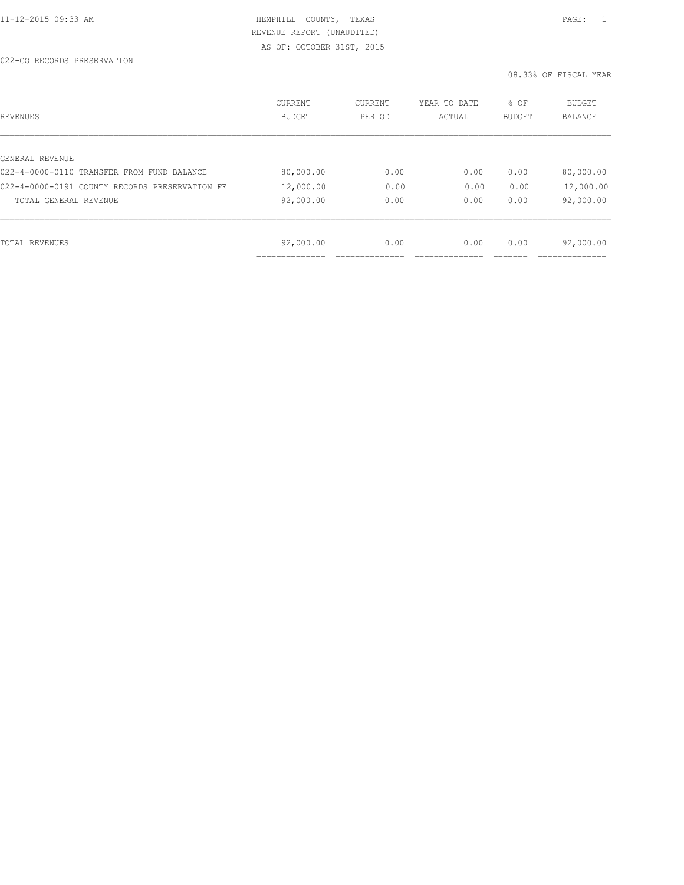| REVENUES                                       | CURRENT<br><b>BUDGET</b> | CURRENT<br>PERIOD | YEAR TO DATE<br>ACTUAL | % OF<br>BUDGET | BUDGET<br>BALANCE |
|------------------------------------------------|--------------------------|-------------------|------------------------|----------------|-------------------|
|                                                |                          |                   |                        |                |                   |
| GENERAL REVENUE                                |                          |                   |                        |                |                   |
| 022-4-0000-0110 TRANSFER FROM FUND BALANCE     | 80,000.00                | 0.00              | 0.00                   | 0.00           | 80,000.00         |
| 022-4-0000-0191 COUNTY RECORDS PRESERVATION FE | 12,000.00                | 0.00              | 0.00                   | 0.00           | 12,000.00         |
| TOTAL GENERAL REVENUE                          | 92,000.00                | 0.00              | 0.00                   | 0.00           | 92,000.00         |
|                                                |                          |                   |                        |                |                   |
| TOTAL REVENUES                                 | 92,000.00                | 0.00              | 0.00                   | 0.00           | 92,000.00         |
|                                                |                          |                   |                        |                |                   |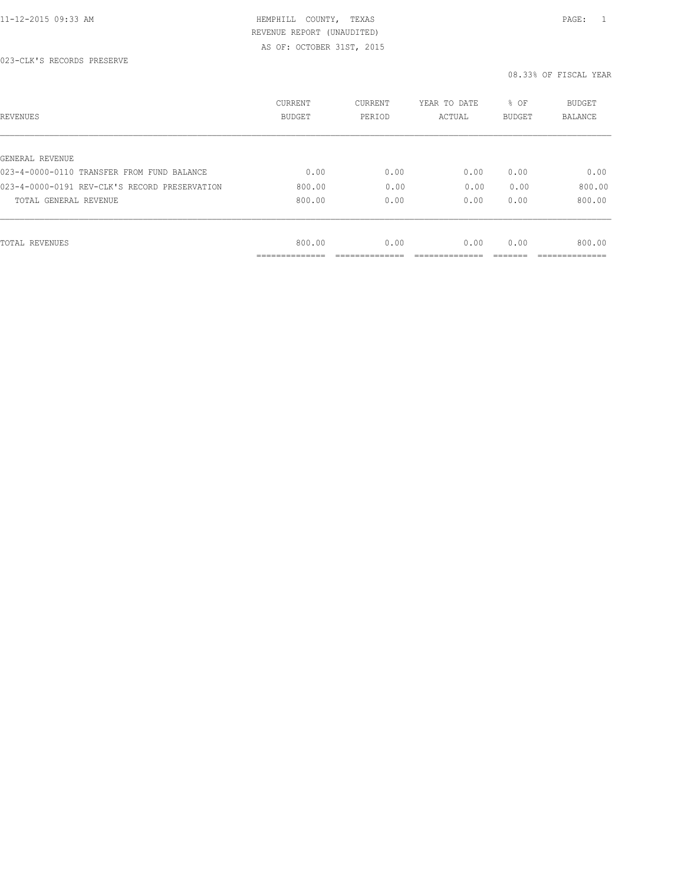| REVENUES                                      | CURRENT<br><b>BUDGET</b> | CURRENT<br>PERIOD | YEAR TO DATE<br>ACTUAL | % OF<br>BUDGET | BUDGET<br>BALANCE |
|-----------------------------------------------|--------------------------|-------------------|------------------------|----------------|-------------------|
|                                               |                          |                   |                        |                |                   |
| GENERAL REVENUE                               |                          |                   |                        |                |                   |
| 023-4-0000-0110 TRANSFER FROM FUND BALANCE    | 0.00                     | 0.00              | 0.00                   | 0.00           | 0.00              |
| 023-4-0000-0191 REV-CLK'S RECORD PRESERVATION | 800.00                   | 0.00              | 0.00                   | 0.00           | 800.00            |
| TOTAL GENERAL REVENUE                         | 800.00                   | 0.00              | 0.00                   | 0.00           | 800.00            |
|                                               |                          |                   |                        |                |                   |
| TOTAL REVENUES                                | 800.00                   | 0.00              | 0.00                   | 0.00           | 800.00            |
|                                               | ____________             |                   |                        |                |                   |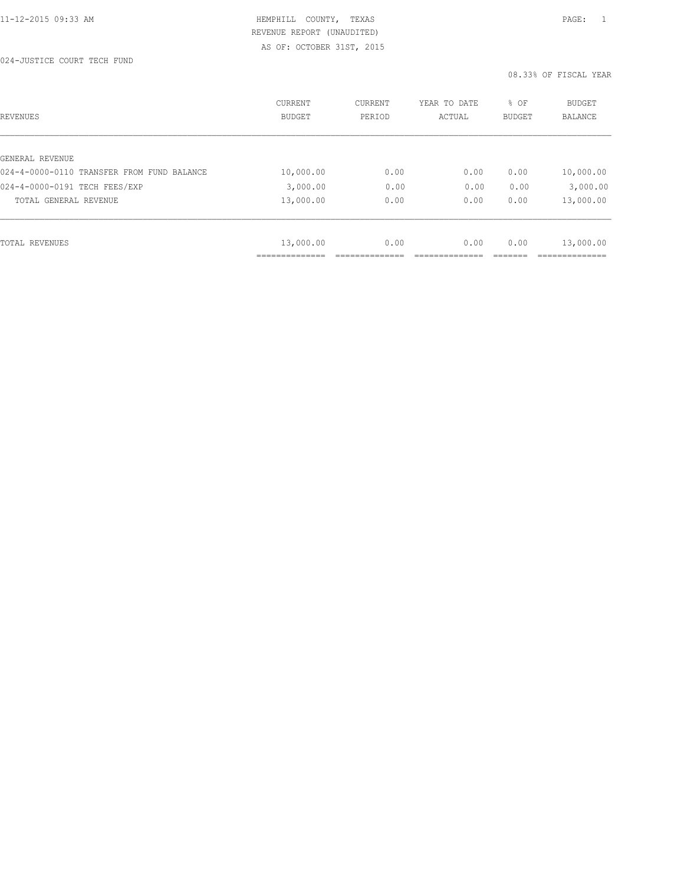024-JUSTICE COURT TECH FUND

| REVENUES                                   | CURRENT<br><b>BUDGET</b> | CURRENT<br>PERIOD | YEAR TO DATE<br>ACTUAL | % OF<br>BUDGET | <b>BUDGET</b><br><b>BALANCE</b> |
|--------------------------------------------|--------------------------|-------------------|------------------------|----------------|---------------------------------|
|                                            |                          |                   |                        |                |                                 |
| GENERAL REVENUE                            |                          |                   |                        |                |                                 |
| 024-4-0000-0110 TRANSFER FROM FUND BALANCE | 10,000.00                | 0.00              | 0.00                   | 0.00           | 10,000.00                       |
| 024-4-0000-0191 TECH FEES/EXP              | 3,000.00                 | 0.00              | 0.00                   | 0.00           | 3,000.00                        |
| TOTAL GENERAL REVENUE                      | 13,000.00                | 0.00              | 0.00                   | 0.00           | 13,000.00                       |
|                                            |                          |                   |                        |                |                                 |
| TOTAL REVENUES                             | 13,000.00                | 0.00              | 0.00                   | 0.00           | 13,000.00                       |
|                                            |                          |                   |                        |                |                                 |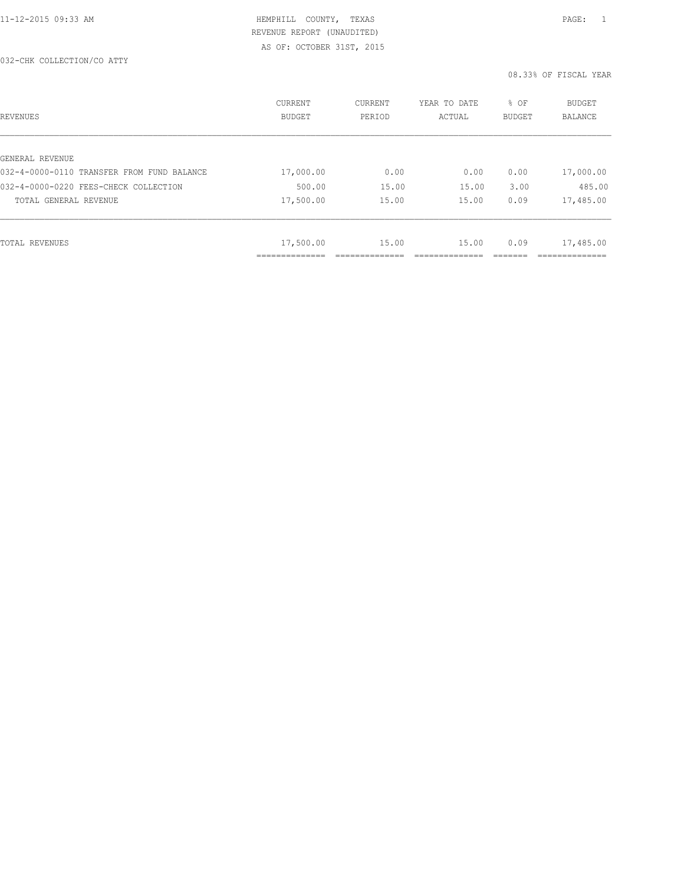| REVENUES                                   | <b>CURRENT</b><br><b>BUDGET</b> | CURRENT<br>PERIOD | YEAR TO DATE<br>ACTUAL | % OF<br><b>BUDGET</b> | <b>BUDGET</b><br>BALANCE |
|--------------------------------------------|---------------------------------|-------------------|------------------------|-----------------------|--------------------------|
|                                            |                                 |                   |                        |                       |                          |
| GENERAL REVENUE                            |                                 |                   |                        |                       |                          |
| 032-4-0000-0110 TRANSFER FROM FUND BALANCE | 17,000.00                       | 0.00              | 0.00                   | 0.00                  | 17,000.00                |
| 032-4-0000-0220 FEES-CHECK COLLECTION      | 500.00                          | 15.00             | 15.00                  | 3.00                  | 485.00                   |
| TOTAL GENERAL REVENUE                      | 17,500.00                       | 15.00             | 15.00                  | 0.09                  | 17,485.00                |
|                                            |                                 |                   |                        |                       |                          |
| TOTAL REVENUES                             | 17,500.00                       | 15.00             | 15.00                  | 0.09                  | 17,485.00                |
|                                            |                                 |                   |                        |                       |                          |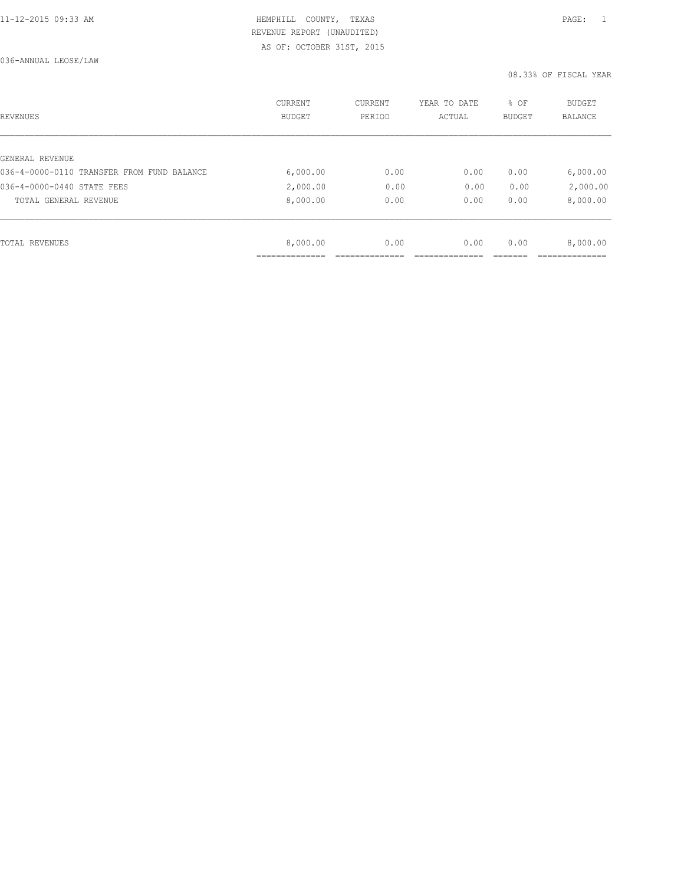| REVENUES                                   | CURRENT<br><b>BUDGET</b> | CURRENT<br>PERIOD | YEAR TO DATE<br>ACTUAL | % OF<br>BUDGET | BUDGET<br><b>BALANCE</b> |
|--------------------------------------------|--------------------------|-------------------|------------------------|----------------|--------------------------|
|                                            |                          |                   |                        |                |                          |
| GENERAL REVENUE                            |                          |                   |                        |                |                          |
| 036-4-0000-0110 TRANSFER FROM FUND BALANCE | 6,000.00                 | 0.00              | 0.00                   | 0.00           | 6,000.00                 |
| 036-4-0000-0440 STATE FEES                 | 2,000.00                 | 0.00              | 0.00                   | 0.00           | 2,000.00                 |
| TOTAL GENERAL REVENUE                      | 8,000.00                 | 0.00              | 0.00                   | 0.00           | 8,000.00                 |
|                                            |                          |                   |                        |                |                          |
| TOTAL REVENUES                             | 8,000.00                 | 0.00              | 0.00                   | 0.00           | 8,000.00                 |
|                                            |                          |                   |                        |                |                          |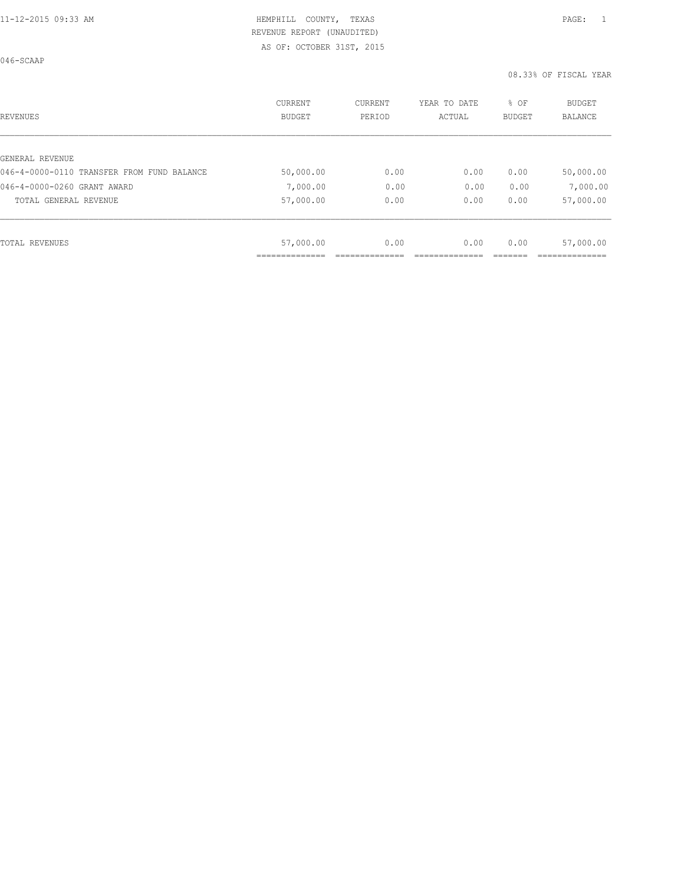046-SCAAP

| REVENUES                                   | <b>CURRENT</b><br><b>BUDGET</b> | CURRENT<br>PERIOD | YEAR TO DATE<br>ACTUAL | % OF<br><b>BUDGET</b> | <b>BUDGET</b><br>BALANCE |
|--------------------------------------------|---------------------------------|-------------------|------------------------|-----------------------|--------------------------|
|                                            |                                 |                   |                        |                       |                          |
| GENERAL REVENUE                            |                                 |                   |                        |                       |                          |
| 046-4-0000-0110 TRANSFER FROM FUND BALANCE | 50,000.00                       | 0.00              | 0.00                   | 0.00                  | 50,000.00                |
| 046-4-0000-0260 GRANT AWARD                | 7,000.00                        | 0.00              | 0.00                   | 0.00                  | 7,000.00                 |
| TOTAL GENERAL REVENUE                      | 57,000.00                       | 0.00              | 0.00                   | 0.00                  | 57,000.00                |
|                                            |                                 |                   |                        |                       |                          |
| TOTAL REVENUES                             | 57,000.00                       | 0.00              | 0.00                   | 0.00                  | 57,000.00                |
|                                            |                                 |                   |                        |                       |                          |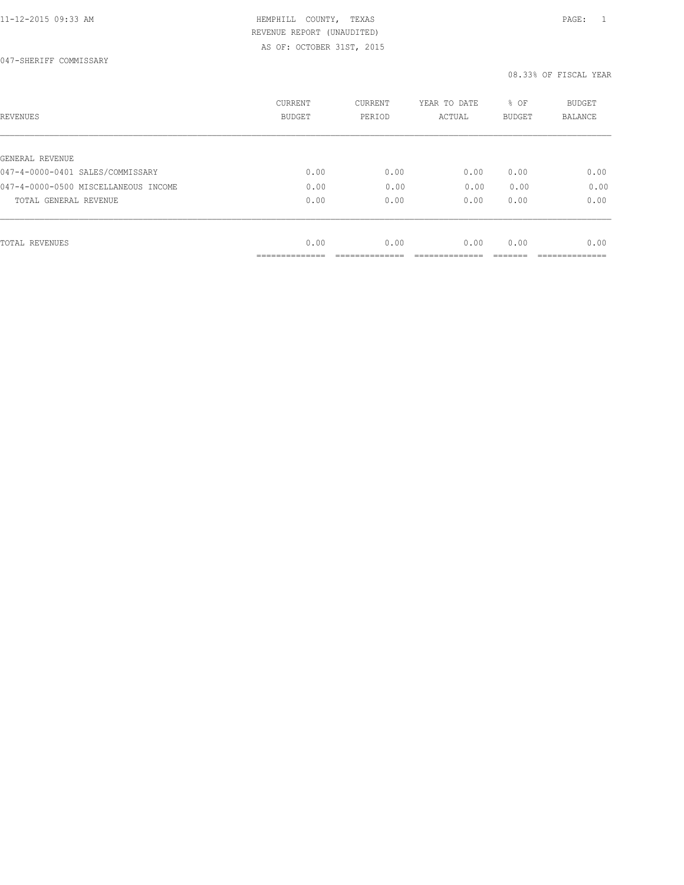047-SHERIFF COMMISSARY

| REVENUES                             | CURRENT<br><b>BUDGET</b> | CURRENT<br>PERIOD | YEAR TO DATE<br>ACTUAL | % OF<br>BUDGET | BUDGET<br><b>BALANCE</b> |
|--------------------------------------|--------------------------|-------------------|------------------------|----------------|--------------------------|
|                                      |                          |                   |                        |                |                          |
| GENERAL REVENUE                      |                          |                   |                        |                |                          |
| 047-4-0000-0401 SALES/COMMISSARY     | 0.00                     | 0.00              | 0.00                   | 0.00           | 0.00                     |
| 047-4-0000-0500 MISCELLANEOUS INCOME | 0.00                     | 0.00              | 0.00                   | 0.00           | 0.00                     |
| TOTAL GENERAL REVENUE                | 0.00                     | 0.00              | 0.00                   | 0.00           | 0.00                     |
|                                      |                          |                   |                        |                |                          |
| TOTAL REVENUES                       | 0.00                     | 0.00              | 0.00                   | 0.00           | 0.00                     |
|                                      | __________               |                   |                        |                |                          |